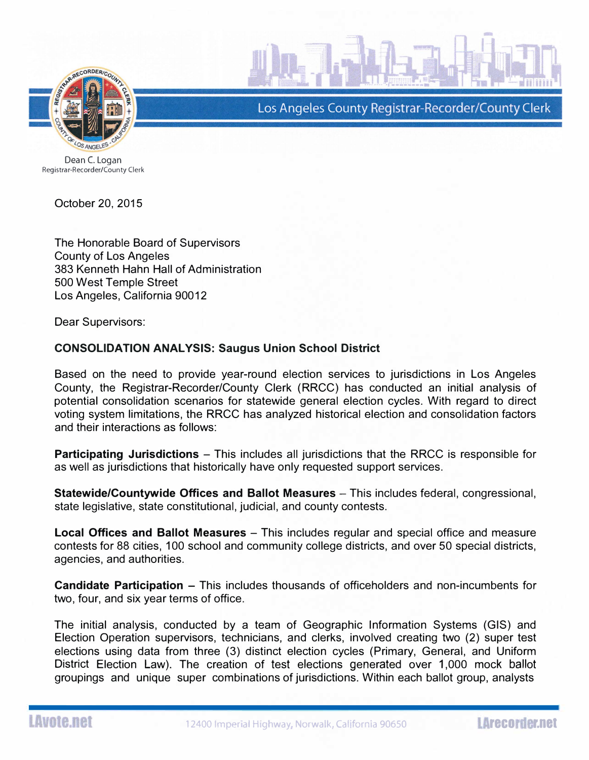

Los Angeles County Registrar-Recorder/County Clerk

Dean C. Logan Registrar-Recorder/County Clerk

October 20 , 2015

The Honorable Board of Supervisors County of Los Angeles 383 Kenneth Hahn Hall of Administration 500 West Temple Street Los Angeles, California 90012

Dear Supervisors:

## CONSOLIDATION ANALYSIS: Saugus Union School District

Based on the need to provide year-round election services to jurisdictions in Los Angeles County, the Registrar-Recorder/County Clerk (RRCC) has conducted an initial analysis of potential consolidation scenarios for statewide general election cycles. With regard to direct voting system limitations, the RRCC has analyzed historical election and consolidation factors and their interactions as follows:

**Participating Jurisdictions** – This includes all jurisdictions that the RRCC is responsible for as well as jurisdictions that historically have only requested support services.

Statewide/Countywide Offices and Ballot Measures - This includes federal, congressional, state legislative, state constitutional, judicial, and county contests.

**Local Offices and Ballot Measures** – This includes regular and special office and measure contests for 88 cities, 100 school and community college districts, and over 50 special districts, agencies, and authorities.

Candidate Participation - This includes thousands of officeholders and non-incumbents for two, four, and six year terms of office.

The initial analysis, conducted by a team of Geographic Information Systems (GIS) and Election Operation supervisors, technicians, and clerks, involved creating two (2) super test elections using data from three (3) distinct election cycles (Primary, General, and Uniform District Election Law). The creation of test elections generated over 1,000 mock ballot groupings and unique super combinations of jurisdictions. Within each ballot group, analysts